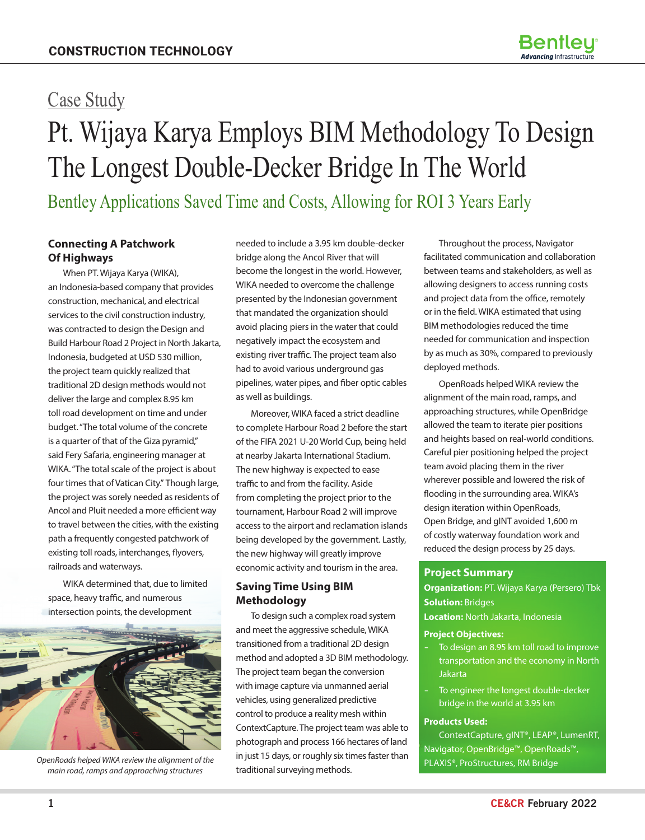# Pt. Wijaya Karya Employs BIM Methodology To Design The Longest Double-Decker Bridge In The World Case Study

Bentley Applications Saved Time and Costs, Allowing for ROI 3 Years Early

## **Connecting A Patchwork Of Highways**

When PT. Wijaya Karya (WIKA), an Indonesia-based company that provides construction, mechanical, and electrical services to the civil construction industry, was contracted to design the Design and Build Harbour Road 2 Project in North Jakarta, Indonesia, budgeted at USD 530 million, the project team quickly realized that traditional 2D design methods would not deliver the large and complex 8.95 km toll road development on time and under budget. "The total volume of the concrete is a quarter of that of the Giza pyramid," said Fery Safaria, engineering manager at WIKA. "The total scale of the project is about four times that of Vatican City." Though large, the project was sorely needed as residents of Ancol and Pluit needed a more efficient way to travel between the cities, with the existing path a frequently congested patchwork of existing toll roads, interchanges, flyovers, railroads and waterways.

WIKA determined that, due to limited space, heavy traffic, and numerous intersection points, the development



*OpenRoads helped WIKA review the alignment of the main road, ramps and approaching structures* 

needed to include a 3.95 km double-decker bridge along the Ancol River that will become the longest in the world. However, WIKA needed to overcome the challenge presented by the Indonesian government that mandated the organization should avoid placing piers in the water that could negatively impact the ecosystem and existing river traffic. The project team also had to avoid various underground gas pipelines, water pipes, and fiber optic cables as well as buildings.

Moreover, WIKA faced a strict deadline to complete Harbour Road 2 before the start of the FIFA 2021 U-20 World Cup, being held at nearby Jakarta International Stadium. The new highway is expected to ease traffic to and from the facility. Aside from completing the project prior to the tournament, Harbour Road 2 will improve access to the airport and reclamation islands being developed by the government. Lastly, the new highway will greatly improve economic activity and tourism in the area.

# **Saving Time Using BIM Methodology**

To design such a complex road system and meet the aggressive schedule, WIKA transitioned from a traditional 2D design method and adopted a 3D BIM methodology. The project team began the conversion with image capture via unmanned aerial vehicles, using generalized predictive control to produce a reality mesh within ContextCapture. The project team was able to photograph and process 166 hectares of land in just 15 days, or roughly six times faster than traditional surveying methods.

Throughout the process, Navigator facilitated communication and collaboration between teams and stakeholders, as well as allowing designers to access running costs and project data from the office, remotely or in the field. WIKA estimated that using BIM methodologies reduced the time needed for communication and inspection by as much as 30%, compared to previously deployed methods.

OpenRoads helped WIKA review the alignment of the main road, ramps, and approaching structures, while OpenBridge allowed the team to iterate pier positions and heights based on real-world conditions. Careful pier positioning helped the project team avoid placing them in the river wherever possible and lowered the risk of flooding in the surrounding area. WIKA's design iteration within OpenRoads, Open Bridge, and gINT avoided 1,600 m of costly waterway foundation work and reduced the design process by 25 days.

### **Project Summary**

**Organization:** PT. Wijaya Karya (Persero) Tbk **Solution: Bridges** 

**Location:** North Jakarta, Indonesia

#### **Project Objectives:**

- To design an 8.95 km toll road to improve transportation and the economy in North Jakarta
- To engineer the longest double-decker bridge in the world at 3.95 km

#### **Products Used:**

ContextCapture, gINT®, LEAP®, LumenRT, Navigator, OpenBridge™, OpenRoads™, PLAXIS®, ProStructures, RM Bridge